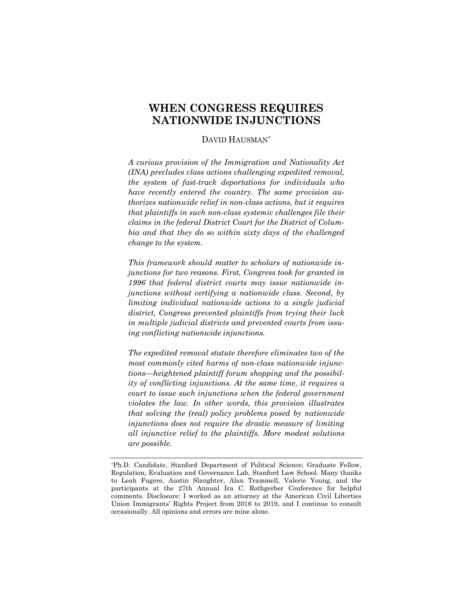# **WHEN CONGRESS REQUIRES NATIONWIDE INJUNCTIONS**

# DAVID HAUSMAN[\\*](#page-0-0)

*A curious provision of the Immigration and Nationality Act (INA) precludes class actions challenging expedited removal, the system of fast-track deportations for individuals who have recently entered the country. The same provision authorizes nationwide relief in non-class actions, but it requires that plaintiffs in such non-class systemic challenges file their claims in the federal District Court for the District of Columbia and that they do so within sixty days of the challenged change to the system.*

*This framework should matter to scholars of nationwide injunctions for two reasons. First, Congress took for granted in 1996 that federal district courts may issue nationwide injunctions without certifying a nationwide class. Second, by limiting individual nationwide actions to a single judicial district, Congress prevented plaintiffs from trying their luck in multiple judicial districts and prevented courts from issuing conflicting nationwide injunctions.*

*The expedited removal statute therefore eliminates two of the most commonly cited harms of non-class nationwide injunctions—heightened plaintiff forum shopping and the possibility of conflicting injunctions. At the same time, it requires a court to issue such injunctions when the federal government violates the law. In other words, this provision illustrates that solving the (real) policy problems posed by nationwide injunctions does not require the drastic measure of limiting all injunctive relief to the plaintiffs. More modest solutions are possible.*

<span id="page-0-0"></span><sup>\*</sup>Ph.D. Candidate, Stanford Department of Political Science; Graduate Fellow, Regulation, Evaluation and Governance Lab, Stanford Law School. Many thanks to Leah Fugere, Austin Slaughter, Alan Trammell, Valerie Young, and the participants at the 27th Annual Ira C. Rothgerber Conference for helpful comments. Disclosure: I worked as an attorney at the American Civil Liberties Union Immigrants' Rights Project from 2016 to 2019, and I continue to consult occasionally. All opinions and errors are mine alone.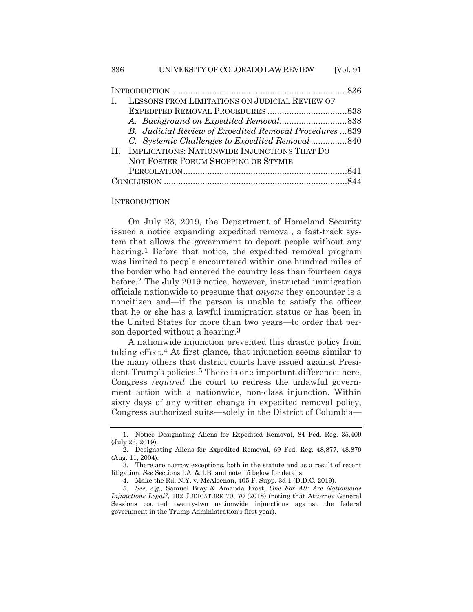| LESSONS FROM LIMITATIONS ON JUDICIAL REVIEW OF<br>L    |  |
|--------------------------------------------------------|--|
|                                                        |  |
|                                                        |  |
| B. Judicial Review of Expedited Removal Procedures 839 |  |
| C. Systemic Challenges to Expedited Removal 840        |  |
| II. IMPLICATIONS: NATIONWIDE INJUNCTIONS THAT DO       |  |
| NOT FOSTER FORUM SHOPPING OR STYMIE                    |  |
|                                                        |  |
|                                                        |  |

#### **INTRODUCTION**

On July 23, 2019, the Department of Homeland Security issued a notice expanding expedited removal, a fast-track system that allows the government to deport people without any hearing.<sup>[1](#page-1-0)</sup> Before that notice, the expedited removal program was limited to people encountered within one hundred miles of the border who had entered the country less than fourteen days before.[2](#page-1-1) The July 2019 notice, however, instructed immigration officials nationwide to presume that *anyone* they encounter is a noncitizen and—if the person is unable to satisfy the officer that he or she has a lawful immigration status or has been in the United States for more than two years—to order that person deported without a hearing.[3](#page-1-2)

A nationwide injunction prevented this drastic policy from taking effect.[4](#page-1-3) At first glance, that injunction seems similar to the many others that district courts have issued against Presi-dent Trump's policies.<sup>[5](#page-1-4)</sup> There is one important difference: here, Congress *required* the court to redress the unlawful government action with a nationwide, non-class injunction. Within sixty days of any written change in expedited removal policy, Congress authorized suits—solely in the District of Columbia—

<span id="page-1-0"></span><sup>1.</sup> Notice Designating Aliens for Expedited Removal, 84 Fed. Reg. 35,409 (July 23, 2019).

<span id="page-1-1"></span><sup>2.</sup> Designating Aliens for Expedited Removal, 69 Fed. Reg. 48,877, 48,879 (Aug. 11, 2004).

<span id="page-1-2"></span><sup>3.</sup> There are narrow exceptions, both in the statute and as a result of recent litigation. *See* Sections I.A. & I.B. and note 15 below for details.

<sup>4.</sup> Make the Rd. N.Y. v. McAleenan, 405 F. Supp. 3d 1 (D.D.C. 2019).

<span id="page-1-4"></span><span id="page-1-3"></span><sup>5</sup>*. See, e.g.*, Samuel Bray & Amanda Frost, *One For All: Are Nationwide Injunctions Legal?*, 102 JUDICATURE 70, 70 (2018) (noting that Attorney General Sessions counted twenty-two nationwide injunctions against the federal government in the Trump Administration's first year).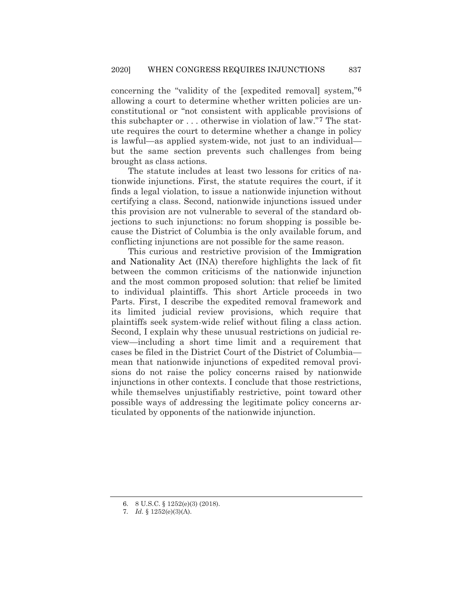concerning the "validity of the [expedited removal] system,"[6](#page-2-0) allowing a court to determine whether written policies are unconstitutional or "not consistent with applicable provisions of this subchapter or . . . otherwise in violation of law."[7](#page-2-1) The statute requires the court to determine whether a change in policy is lawful—as applied system-wide, not just to an individual but the same section prevents such challenges from being brought as class actions.

The statute includes at least two lessons for critics of nationwide injunctions. First, the statute requires the court, if it finds a legal violation, to issue a nationwide injunction without certifying a class. Second, nationwide injunctions issued under this provision are not vulnerable to several of the standard objections to such injunctions: no forum shopping is possible because the District of Columbia is the only available forum, and conflicting injunctions are not possible for the same reason.

This curious and restrictive provision of the Immigration and Nationality Act (INA) therefore highlights the lack of fit between the common criticisms of the nationwide injunction and the most common proposed solution: that relief be limited to individual plaintiffs. This short Article proceeds in two Parts. First, I describe the expedited removal framework and its limited judicial review provisions, which require that plaintiffs seek system-wide relief without filing a class action. Second, I explain why these unusual restrictions on judicial review—including a short time limit and a requirement that cases be filed in the District Court of the District of Columbia mean that nationwide injunctions of expedited removal provisions do not raise the policy concerns raised by nationwide injunctions in other contexts. I conclude that those restrictions, while themselves unjustifiably restrictive, point toward other possible ways of addressing the legitimate policy concerns articulated by opponents of the nationwide injunction.

<span id="page-2-0"></span><sup>6.</sup> 8 U.S.C. § 1252(e)(3) (2018).

<span id="page-2-1"></span><sup>7</sup>*. Id.* § 1252(e)(3)(A).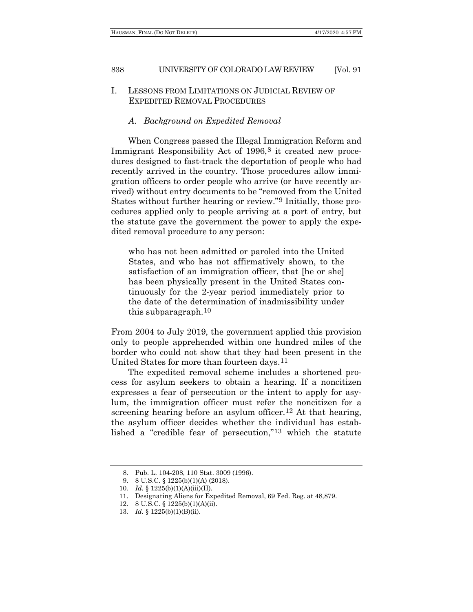# I. LESSONS FROM LIMITATIONS ON JUDICIAL REVIEW OF EXPEDITED REMOVAL PROCEDURES

## *A. Background on Expedited Removal*

When Congress passed the Illegal Immigration Reform and Immigrant Responsibility Act of 1996,<sup>[8](#page-3-0)</sup> it created new procedures designed to fast-track the deportation of people who had recently arrived in the country. Those procedures allow immigration officers to order people who arrive (or have recently arrived) without entry documents to be "removed from the United States without further hearing or review."[9](#page-3-1) Initially, those procedures applied only to people arriving at a port of entry, but the statute gave the government the power to apply the expedited removal procedure to any person:

who has not been admitted or paroled into the United States, and who has not affirmatively shown, to the satisfaction of an immigration officer, that [he or she] has been physically present in the United States continuously for the 2-year period immediately prior to the date of the determination of inadmissibility under this subparagraph.[10](#page-3-2)

From 2004 to July 2019, the government applied this provision only to people apprehended within one hundred miles of the border who could not show that they had been present in the United States for more than fourteen days.[11](#page-3-3)

The expedited removal scheme includes a shortened process for asylum seekers to obtain a hearing. If a noncitizen expresses a fear of persecution or the intent to apply for asylum, the immigration officer must refer the noncitizen for a screening hearing before an asylum officer.<sup>[12](#page-3-4)</sup> At that hearing, the asylum officer decides whether the individual has established a "credible fear of persecution,"[13](#page-3-5) which the statute

<sup>8.</sup> Pub. L. 104-208, 110 Stat. 3009 (1996).

<sup>9.</sup> 8 U.S.C. § 1225(b)(1)(A) (2018).

<span id="page-3-3"></span><span id="page-3-2"></span><span id="page-3-1"></span><span id="page-3-0"></span><sup>10</sup>*. Id.* § 1225(b)(1)(A)(iii)(II).

<sup>11.</sup> Designating Aliens for Expedited Removal, 69 Fed. Reg. at 48,879.

<sup>12.</sup> 8 U.S.C. § 1225(b)(1)(A)(ii).

<span id="page-3-5"></span><span id="page-3-4"></span><sup>13</sup>*. Id.* § 1225(b)(1)(B)(ii).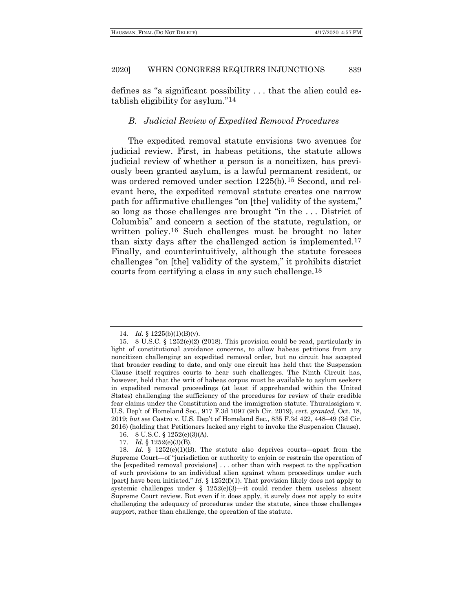defines as "a significant possibility . . . that the alien could establish eligibility for asylum."[14](#page-4-0)

#### *B. Judicial Review of Expedited Removal Procedures*

The expedited removal statute envisions two avenues for judicial review. First, in habeas petitions, the statute allows judicial review of whether a person is a noncitizen, has previously been granted asylum, is a lawful permanent resident, or was ordered removed under section 1225(b).[15](#page-4-1) Second, and relevant here, the expedited removal statute creates one narrow path for affirmative challenges "on [the] validity of the system," so long as those challenges are brought "in the . . . District of Columbia" and concern a section of the statute, regulation, or written policy.<sup>[16](#page-4-2)</sup> Such challenges must be brought no later than sixty days after the challenged action is implemented[.17](#page-4-3) Finally, and counterintuitively, although the statute foresees challenges "on [the] validity of the system," it prohibits district courts from certifying a class in any such challenge.[18](#page-4-4)

17*. Id.* § 1252(e)(3)(B).

<sup>14</sup>*. Id.* § 1225(b)(1)(B)(v).

<span id="page-4-1"></span><span id="page-4-0"></span><sup>15.</sup> 8 U.S.C. § 1252(e)(2) (2018). This provision could be read, particularly in light of constitutional avoidance concerns, to allow habeas petitions from any noncitizen challenging an expedited removal order, but no circuit has accepted that broader reading to date, and only one circuit has held that the Suspension Clause itself requires courts to hear such challenges. The Ninth Circuit has, however, held that the writ of habeas corpus must be available to asylum seekers in expedited removal proceedings (at least if apprehended within the United States) challenging the sufficiency of the procedures for review of their credible fear claims under the Constitution and the immigration statute. Thuraissigiam v. U.S. Dep't of Homeland Sec., 917 F.3d 1097 (9th Cir. 2019), *cert. granted*, Oct. 18, 2019; *but see* Castro v. U.S. Dep't of Homeland Sec., 835 F.3d 422, 448–49 (3d Cir. 2016) (holding that Petitioners lacked any right to invoke the Suspension Clause).

<sup>16.</sup> 8 U.S.C. § 1252(e)(3)(A).

<span id="page-4-4"></span><span id="page-4-3"></span><span id="page-4-2"></span><sup>18</sup>*. Id.* § 1252(e)(1)(B). The statute also deprives courts—apart from the Supreme Court—of "jurisdiction or authority to enjoin or restrain the operation of the [expedited removal provisions] . . . other than with respect to the application of such provisions to an individual alien against whom proceedings under such [part] have been initiated." *Id.* § 1252(f)(1). That provision likely does not apply to systemic challenges under § 1252(e)(3)—it could render them useless absent Supreme Court review. But even if it does apply, it surely does not apply to suits challenging the adequacy of procedures under the statute, since those challenges support, rather than challenge, the operation of the statute.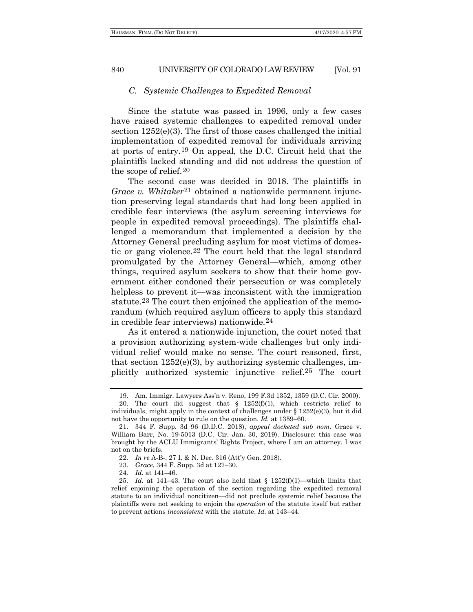#### *C. Systemic Challenges to Expedited Removal*

Since the statute was passed in 1996, only a few cases have raised systemic challenges to expedited removal under section 1252(e)(3). The first of those cases challenged the initial implementation of expedited removal for individuals arriving at ports of entry[.19](#page-5-0) On appeal, the D.C. Circuit held that the plaintiffs lacked standing and did not address the question of the scope of relief.[20](#page-5-1)

The second case was decided in 2018. The plaintiffs in *Grace v. Whitaker*[21](#page-5-2) obtained a nationwide permanent injunction preserving legal standards that had long been applied in credible fear interviews (the asylum screening interviews for people in expedited removal proceedings). The plaintiffs challenged a memorandum that implemented a decision by the Attorney General precluding asylum for most victims of domestic or gang violence.[22](#page-5-3) The court held that the legal standard promulgated by the Attorney General—which, among other things, required asylum seekers to show that their home government either condoned their persecution or was completely helpless to prevent it—was inconsistent with the immigration statute.[23](#page-5-4) The court then enjoined the application of the memorandum (which required asylum officers to apply this standard in credible fear interviews) nationwide.[24](#page-5-5)

As it entered a nationwide injunction, the court noted that a provision authorizing system-wide challenges but only individual relief would make no sense. The court reasoned, first, that section  $1252(e)(3)$ , by authorizing systemic challenges, implicitly authorized systemic injunctive relief.[25](#page-5-6) The court

<sup>19.</sup> Am. Immigr. Lawyers Ass'n v. Reno, 199 F.3d 1352, 1359 (D.C. Cir. 2000).

<span id="page-5-1"></span><span id="page-5-0"></span><sup>20.</sup> The court did suggest that  $\S$  1252(f)(1), which restricts relief to individuals, might apply in the context of challenges under  $\S 1252(e)(3)$ , but it did not have the opportunity to rule on the question. *Id.* at 1359–60.

<span id="page-5-2"></span><sup>21.</sup> 344 F. Supp. 3d 96 (D.D.C. 2018), *appeal docketed sub nom.* Grace v. William Barr, No. 19-5013 (D.C. Cir. Jan. 30, 2019). Disclosure: this case was brought by the ACLU Immigrants' Rights Project, where I am an attorney. I was not on the briefs.

<sup>22</sup>*. In re* A-B-, 27 I. & N. Dec. 316 (Att'y Gen. 2018).

<sup>23</sup>*. Grace*, 344 F. Supp. 3d at 127–30.

<sup>24</sup>*. Id.* at 141–46.

<span id="page-5-6"></span><span id="page-5-5"></span><span id="page-5-4"></span><span id="page-5-3"></span><sup>25</sup>*. Id.* at 141–43. The court also held that § 1252(f)(1)—which limits that relief enjoining the operation of the section regarding the expedited removal statute to an individual noncitizen—did not preclude systemic relief because the plaintiffs were not seeking to enjoin the *operation* of the statute itself but rather to prevent actions *inconsistent* with the statute. *Id.* at 143–44.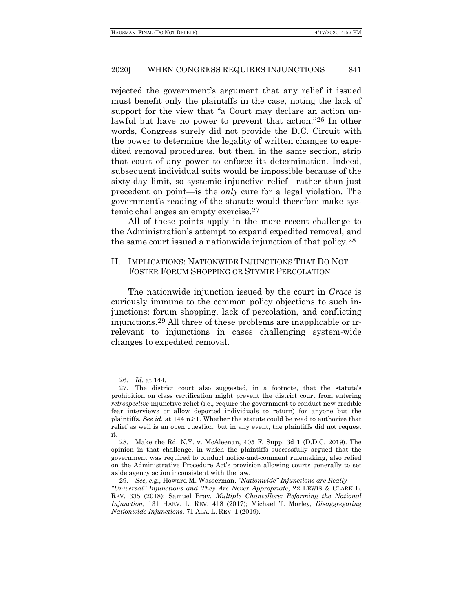rejected the government's argument that any relief it issued must benefit only the plaintiffs in the case, noting the lack of support for the view that "a Court may declare an action unlawful but have no power to prevent that action."[26](#page-6-0) In other words, Congress surely did not provide the D.C. Circuit with the power to determine the legality of written changes to expedited removal procedures, but then, in the same section, strip that court of any power to enforce its determination. Indeed, subsequent individual suits would be impossible because of the sixty-day limit, so systemic injunctive relief—rather than just precedent on point—is the *only* cure for a legal violation. The government's reading of the statute would therefore make systemic challenges an empty exercise.[27](#page-6-1)

All of these points apply in the more recent challenge to the Administration's attempt to expand expedited removal, and the same court issued a nationwide injunction of that policy.[28](#page-6-2)

# II. IMPLICATIONS: NATIONWIDE INJUNCTIONS THAT DO NOT FOSTER FORUM SHOPPING OR STYMIE PERCOLATION

<span id="page-6-4"></span>The nationwide injunction issued by the court in *Grace* is curiously immune to the common policy objections to such injunctions: forum shopping, lack of percolation, and conflicting injunctions.[29](#page-6-3) All three of these problems are inapplicable or irrelevant to injunctions in cases challenging system-wide changes to expedited removal.

<sup>26</sup>*. Id.* at 144.

<span id="page-6-1"></span><span id="page-6-0"></span><sup>27.</sup> The district court also suggested, in a footnote, that the statute's prohibition on class certification might prevent the district court from entering *retrospective* injunctive relief (i.e., require the government to conduct new credible fear interviews or allow deported individuals to return) for anyone but the plaintiffs. *See id.* at 144 n.31. Whether the statute could be read to authorize that relief as well is an open question, but in any event, the plaintiffs did not request it.

<span id="page-6-2"></span><sup>28</sup>*.* Make the Rd. N.Y. v. McAleenan, 405 F. Supp. 3d 1 (D.D.C. 2019). The opinion in that challenge, in which the plaintiffs successfully argued that the government was required to conduct notice-and-comment rulemaking, also relied on the Administrative Procedure Act's provision allowing courts generally to set aside agency action inconsistent with the law.

<span id="page-6-3"></span><sup>29</sup>*. See, e.g.*, Howard M. Wasserman, *"Nationwide" Injunctions are Really "Universal" Injunctions and They Are Never Appropriate*, 22 LEWIS & CLARK L. REV. 335 (2018); Samuel Bray, *Multiple Chancellors: Reforming the National Injunction*, 131 HARV. L. REV. 418 (2017); Michael T. Morley, *Disaggregating Nationwide Injunctions*, 71 ALA. L. REV. 1 (2019).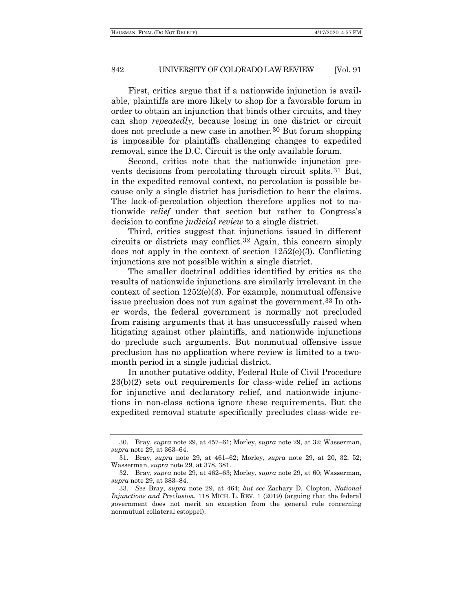First, critics argue that if a nationwide injunction is available, plaintiffs are more likely to shop for a favorable forum in order to obtain an injunction that binds other circuits, and they can shop *repeatedly*, because losing in one district or circuit does not preclude a new case in another*.*[30](#page-7-0) But forum shopping is impossible for plaintiffs challenging changes to expedited removal, since the D.C. Circuit is the only available forum.

Second, critics note that the nationwide injunction prevents decisions from percolating through circuit splits.[31](#page-7-1) But, in the expedited removal context, no percolation is possible because only a single district has jurisdiction to hear the claims. The lack-of-percolation objection therefore applies not to nationwide *relief* under that section but rather to Congress's decision to confine *judicial review* to a single district.

Third, critics suggest that injunctions issued in different circuits or districts may conflict.[32](#page-7-2) Again, this concern simply does not apply in the context of section 1252(e)(3). Conflicting injunctions are not possible within a single district.

The smaller doctrinal oddities identified by critics as the results of nationwide injunctions are similarly irrelevant in the context of section 1252(e)(3). For example, nonmutual offensive issue preclusion does not run against the government.[33](#page-7-3) In other words, the federal government is normally not precluded from raising arguments that it has unsuccessfully raised when litigating against other plaintiffs, and nationwide injunctions do preclude such arguments. But nonmutual offensive issue preclusion has no application where review is limited to a twomonth period in a single judicial district.

In another putative oddity, Federal Rule of Civil Procedure 23(b)(2) sets out requirements for class-wide relief in actions for injunctive and declaratory relief, and nationwide injunctions in non-class actions ignore these requirements. But the expedited removal statute specifically precludes class-wide re-

<span id="page-7-0"></span><sup>30.</sup> Bray, *supra* note [29,](#page-6-4) at 457–61; Morley, *supra* not[e 29,](#page-6-4) at 32; Wasserman, *supra* note [29,](#page-6-4) at 363–64.

<span id="page-7-1"></span><sup>31.</sup> Bray, *supra* note [29,](#page-6-4) at 461–62; Morley, *supra* note [29,](#page-6-4) at 20, 32, 52; Wasserman, *supra* not[e 29,](#page-6-4) at 378, 381.

<span id="page-7-2"></span><sup>32.</sup> Bray, *supra* note [29,](#page-6-4) at 462–63; Morley, *supra* not[e 29,](#page-6-4) at 60; Wasserman, *supra* note [29,](#page-6-4) at 383–84.

<span id="page-7-3"></span><sup>33</sup>*. See* Bray, *supra* note [29,](#page-6-4) at 464; *but see* Zachary D. Clopton, *National Injunctions and Preclusion*, 118 MICH. L. REV. 1 (2019) (arguing that the federal government does not merit an exception from the general rule concerning nonmutual collateral estoppel).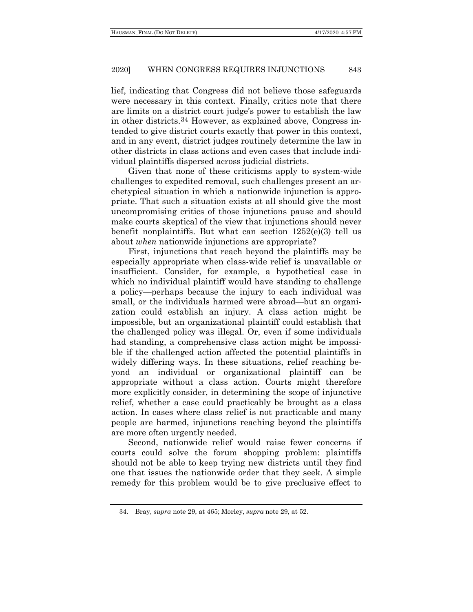lief, indicating that Congress did not believe those safeguards were necessary in this context. Finally, critics note that there are limits on a district court judge's power to establish the law in other districts.[34](#page-8-0) However, as explained above, Congress intended to give district courts exactly that power in this context, and in any event, district judges routinely determine the law in other districts in class actions and even cases that include individual plaintiffs dispersed across judicial districts.

Given that none of these criticisms apply to system-wide challenges to expedited removal, such challenges present an archetypical situation in which a nationwide injunction is appropriate. That such a situation exists at all should give the most uncompromising critics of those injunctions pause and should make courts skeptical of the view that injunctions should never benefit nonplaintiffs. But what can section 1252(e)(3) tell us about *when* nationwide injunctions are appropriate?

First, injunctions that reach beyond the plaintiffs may be especially appropriate when class-wide relief is unavailable or insufficient. Consider, for example, a hypothetical case in which no individual plaintiff would have standing to challenge a policy—perhaps because the injury to each individual was small, or the individuals harmed were abroad—but an organization could establish an injury. A class action might be impossible, but an organizational plaintiff could establish that the challenged policy was illegal. Or, even if some individuals had standing, a comprehensive class action might be impossible if the challenged action affected the potential plaintiffs in widely differing ways. In these situations, relief reaching beyond an individual or organizational plaintiff can be appropriate without a class action. Courts might therefore more explicitly consider, in determining the scope of injunctive relief, whether a case could practicably be brought as a class action. In cases where class relief is not practicable and many people are harmed, injunctions reaching beyond the plaintiffs are more often urgently needed.

Second, nationwide relief would raise fewer concerns if courts could solve the forum shopping problem: plaintiffs should not be able to keep trying new districts until they find one that issues the nationwide order that they seek. A simple remedy for this problem would be to give preclusive effect to

<span id="page-8-0"></span><sup>34.</sup> Bray, *supra* note [29,](#page-6-4) at 465; Morley, *supra* note [29,](#page-6-4) at 52.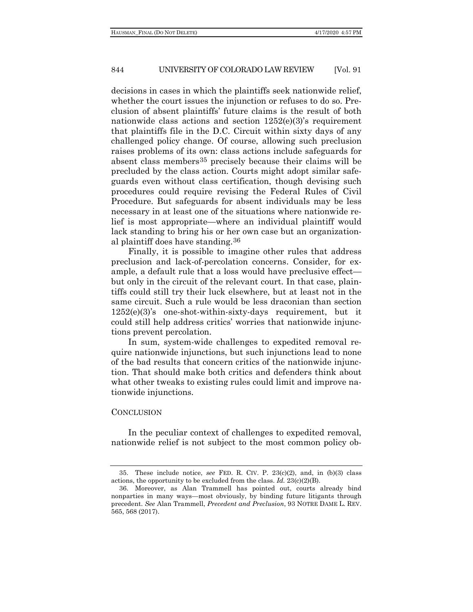decisions in cases in which the plaintiffs seek nationwide relief, whether the court issues the injunction or refuses to do so. Preclusion of absent plaintiffs' future claims is the result of both nationwide class actions and section 1252(e)(3)'s requirement that plaintiffs file in the D.C. Circuit within sixty days of any challenged policy change. Of course, allowing such preclusion raises problems of its own: class actions include safeguards for absent class members[35](#page-9-0) precisely because their claims will be precluded by the class action. Courts might adopt similar safeguards even without class certification, though devising such procedures could require revising the Federal Rules of Civil Procedure. But safeguards for absent individuals may be less necessary in at least one of the situations where nationwide relief is most appropriate—where an individual plaintiff would lack standing to bring his or her own case but an organizational plaintiff does have standing.[36](#page-9-1)

Finally, it is possible to imagine other rules that address preclusion and lack-of-percolation concerns. Consider, for example, a default rule that a loss would have preclusive effect but only in the circuit of the relevant court. In that case, plaintiffs could still try their luck elsewhere, but at least not in the same circuit. Such a rule would be less draconian than section 1252(e)(3)'s one-shot-within-sixty-days requirement, but it could still help address critics' worries that nationwide injunctions prevent percolation.

In sum, system-wide challenges to expedited removal require nationwide injunctions, but such injunctions lead to none of the bad results that concern critics of the nationwide injunction. That should make both critics and defenders think about what other tweaks to existing rules could limit and improve nationwide injunctions.

# **CONCLUSION**

In the peculiar context of challenges to expedited removal, nationwide relief is not subject to the most common policy ob-

<span id="page-9-0"></span><sup>35.</sup> These include notice, *see* FED. R. CIV. P. 23(c)(2), and, in (b)(3) class actions, the opportunity to be excluded from the class. *Id.* 23(c)(2)(B).

<span id="page-9-1"></span><sup>36.</sup> Moreover, as Alan Trammell has pointed out, courts already bind nonparties in many ways—most obviously, by binding future litigants through precedent. *See* Alan Trammell, *Precedent and Preclusion*, 93 NOTRE DAME L. REV. 565, 568 (2017).